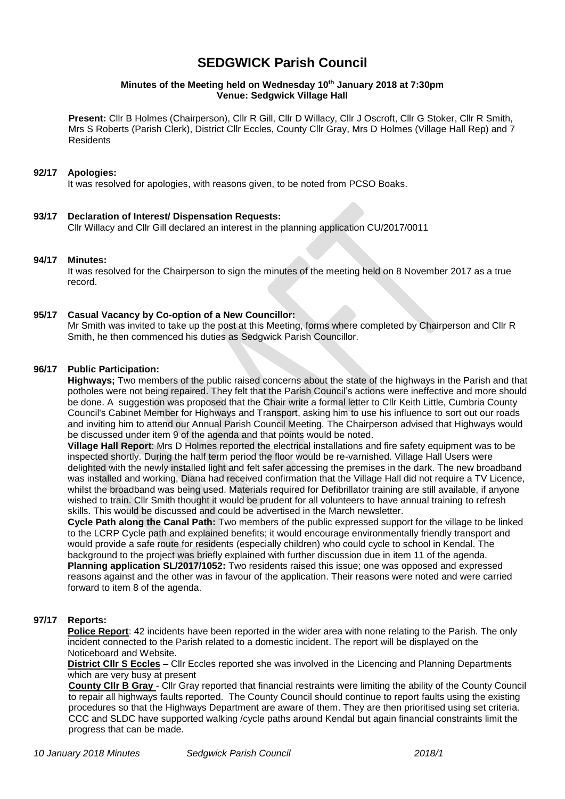# **SEDGWICK Parish Council**

# **Minutes of the Meeting held on Wednesday 10th January 2018 at 7:30pm Venue: Sedgwick Village Hall**

**Present:** Cllr B Holmes (Chairperson), Cllr R Gill, Cllr D Willacy, Cllr J Oscroft, Cllr G Stoker, Cllr R Smith, Mrs S Roberts (Parish Clerk), District Cllr Eccles, County Cllr Gray, Mrs D Holmes (Village Hall Rep) and 7 Residents

#### **92/17 Apologies:**

It was resolved for apologies, with reasons given, to be noted from PCSO Boaks.

#### **93/17 Declaration of Interest/ Dispensation Requests:**

Cllr Willacy and Cllr Gill declared an interest in the planning application CU/2017/0011

# **94/17 Minutes:**

It was resolved for the Chairperson to sign the minutes of the meeting held on 8 November 2017 as a true record.

# **95/17 Casual Vacancy by Co-option of a New Councillor:**

Mr Smith was invited to take up the post at this Meeting, forms where completed by Chairperson and Cllr R Smith, he then commenced his duties as Sedgwick Parish Councillor.

# **96/17 Public Participation:**

**Highways;** Two members of the public raised concerns about the state of the highways in the Parish and that potholes were not being repaired. They felt that the Parish Council's actions were ineffective and more should be done. A suggestion was proposed that the Chair write a formal letter to Cllr Keith Little, Cumbria County Council's Cabinet Member for Highways and Transport, asking him to use his influence to sort out our roads and inviting him to attend our Annual Parish Council Meeting. The Chairperson advised that Highways would be discussed under item 9 of the agenda and that points would be noted.

**Village Hall Report**: Mrs D Holmes reported the electrical installations and fire safety equipment was to be inspected shortly. During the half term period the floor would be re-varnished. Village Hall Users were delighted with the newly installed light and felt safer accessing the premises in the dark. The new broadband was installed and working, Diana had received confirmation that the Village Hall did not require a TV Licence, whilst the broadband was being used. Materials required for Defibrillator training are still available, if anyone wished to train. Cllr Smith thought it would be prudent for all volunteers to have annual training to refresh skills. This would be discussed and could be advertised in the March newsletter.

**Cycle Path along the Canal Path:** Two members of the public expressed support for the village to be linked to the LCRP Cycle path and explained benefits; it would encourage environmentally friendly transport and would provide a safe route for residents (especially children) who could cycle to school in Kendal. The background to the project was briefly explained with further discussion due in item 11 of the agenda. **Planning application SL/2017/1052:** Two residents raised this issue; one was opposed and expressed reasons against and the other was in favour of the application. Their reasons were noted and were carried forward to item 8 of the agenda.

# **97/17 Reports:**

**Police Report**: 42 incidents have been reported in the wider area with none relating to the Parish. The only incident connected to the Parish related to a domestic incident. The report will be displayed on the Noticeboard and Website.

**District Cllr S Eccles** – Cllr Eccles reported she was involved in the Licencing and Planning Departments which are very busy at present

**County Cllr B Gray** - Cllr Gray reported that financial restraints were limiting the ability of the County Council to repair all highways faults reported. The County Council should continue to report faults using the existing procedures so that the Highways Department are aware of them. They are then prioritised using set criteria. CCC and SLDC have supported walking /cycle paths around Kendal but again financial constraints limit the progress that can be made.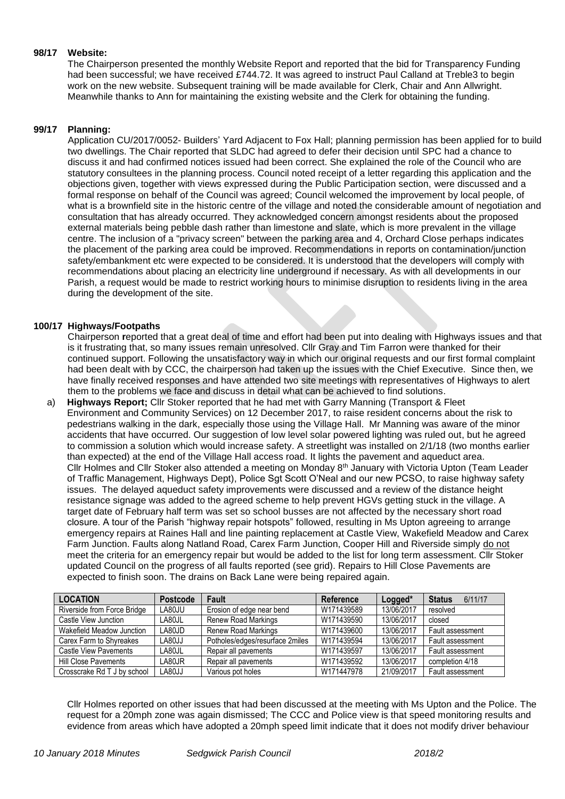# **98/17 Website:**

 The Chairperson presented the monthly Website Report and reported that the bid for Transparency Funding had been successful; we have received £744.72. It was agreed to instruct Paul Calland at Treble3 to begin work on the new website. Subsequent training will be made available for Clerk, Chair and Ann Allwright. Meanwhile thanks to Ann for maintaining the existing website and the Clerk for obtaining the funding.

### **99/17 Planning:**

 Application CU/2017/0052- Builders' Yard Adjacent to Fox Hall; planning permission has been applied for to build two dwellings. The Chair reported that SLDC had agreed to defer their decision until SPC had a chance to discuss it and had confirmed notices issued had been correct. She explained the role of the Council who are statutory consultees in the planning process. Council noted receipt of a letter regarding this application and the objections given, together with views expressed during the Public Participation section, were discussed and a formal response on behalf of the Council was agreed; Council welcomed the improvement by local people, of what is a brownfield site in the historic centre of the village and noted the considerable amount of negotiation and consultation that has already occurred. They acknowledged concern amongst residents about the proposed external materials being pebble dash rather than limestone and slate, which is more prevalent in the village centre. The inclusion of a "privacy screen" between the parking area and 4, Orchard Close perhaps indicates the placement of the parking area could be improved. Recommendations in reports on contamination/junction safety/embankment etc were expected to be considered. It is understood that the developers will comply with recommendations about placing an electricity line underground if necessary. As with all developments in our Parish, a request would be made to restrict working hours to minimise disruption to residents living in the area during the development of the site.

#### **100/17 Highways/Footpaths**

 Chairperson **r**eported that a great deal of time and effort had been put into dealing with Highways issues and that is it frustrating that, so many issues remain unresolved. Cllr Gray and Tim Farron were thanked for their continued support. Following the unsatisfactory way in which our original requests and our first formal complaint had been dealt with by CCC, the chairperson had taken up the issues with the Chief Executive. Since then, we have finally received responses and have attended two site meetings with representatives of Highways to alert them to the problems we face and discuss in detail what can be achieved to find solutions.

a) **Highways Report;** Cllr Stoker reported that he had met with Garry Manning (Transport & Fleet Environment and Community Services) on 12 December 2017, to raise resident concerns about the risk to pedestrians walking in the dark, especially those using the Village Hall. Mr Manning was aware of the minor accidents that have occurred. Our suggestion of low level solar powered lighting was ruled out, but he agreed to commission a solution which would increase safety. A streetlight was installed on 2/1/18 (two months earlier than expected) at the end of the Village Hall access road. It lights the pavement and aqueduct area. Cllr Holmes and Cllr Stoker also attended a meeting on Monday 8th January with Victoria Upton (Team Leader of Traffic Management, Highways Dept), Police Sgt Scott O'Neal and our new PCSO, to raise highway safety issues. The delayed aqueduct safety improvements were discussed and a review of the distance height resistance signage was added to the agreed scheme to help prevent HGVs getting stuck in the village. A target date of February half term was set so school busses are not affected by the necessary short road closure. A tour of the Parish "highway repair hotspots" followed, resulting in Ms Upton agreeing to arrange emergency repairs at Raines Hall and line painting replacement at Castle View, Wakefield Meadow and Carex Farm Junction. Faults along Natland Road, Carex Farm Junction, Cooper Hill and Riverside simply do not meet the criteria for an emergency repair but would be added to the list for long term assessment. Cllr Stoker updated Council on the progress of all faults reported (see grid). Repairs to Hill Close Pavements are expected to finish soon. The drains on Back Lane were being repaired again.

| <b>LOCATION</b>             | <b>Postcode</b> | Fault                           | <b>Reference</b> | Logged*    | <b>Status</b><br>6/11/17 |
|-----------------------------|-----------------|---------------------------------|------------------|------------|--------------------------|
| Riverside from Force Bridge | LA80JU          | Erosion of edge near bend       | W171439589       | 13/06/2017 | resolved                 |
| Castle View Junction        | LA80JL          | <b>Renew Road Markings</b>      | W171439590       | 13/06/2017 | closed                   |
| Wakefield Meadow Junction   | LA80JD          | <b>Renew Road Markings</b>      | W171439600       | 13/06/2017 | Fault assessment         |
| Carex Farm to Shyreakes     | LA80JJ          | Potholes/edges/resurface 2miles | W171439594       | 13/06/2017 | Fault assessment         |
| Castle View Pavements       | LA80JL          | Repair all pavements            | W171439597       | 13/06/2017 | Fault assessment         |
| <b>Hill Close Pavements</b> | LA80JR          | Repair all pavements            | W171439592       | 13/06/2017 | completion 4/18          |
| Crosscrake Rd T J by school | LA80JJ          | Various pot holes               | W171447978       | 21/09/2017 | Fault assessment         |

Cllr Holmes reported on other issues that had been discussed at the meeting with Ms Upton and the Police. The request for a 20mph zone was again dismissed; The CCC and Police view is that speed monitoring results and evidence from areas which have adopted a 20mph speed limit indicate that it does not modify driver behaviour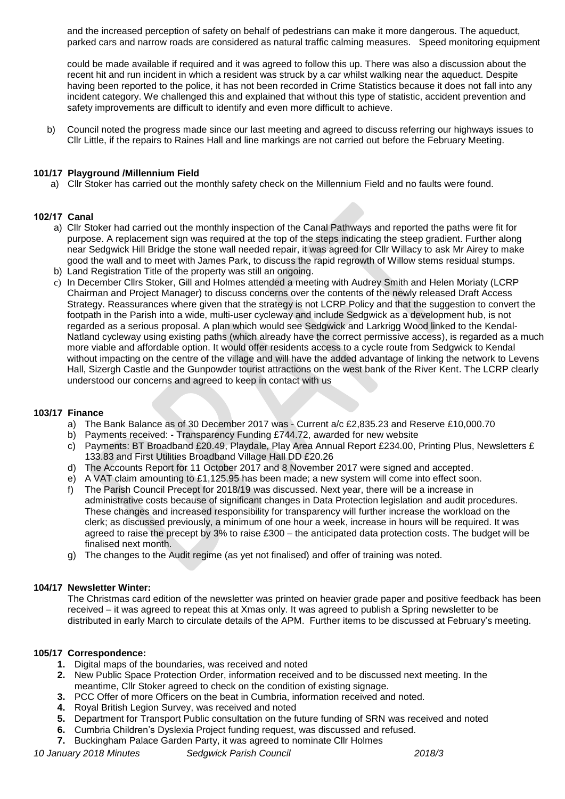and the increased perception of safety on behalf of pedestrians can make it more dangerous. The aqueduct, parked cars and narrow roads are considered as natural traffic calming measures. Speed monitoring equipment

could be made available if required and it was agreed to follow this up. There was also a discussion about the recent hit and run incident in which a resident was struck by a car whilst walking near the aqueduct. Despite having been reported to the police, it has not been recorded in Crime Statistics because it does not fall into any incident category. We challenged this and explained that without this type of statistic, accident prevention and safety improvements are difficult to identify and even more difficult to achieve.

b) Council noted the progress made since our last meeting and agreed to discuss referring our highways issues to Cllr Little, if the repairs to Raines Hall and line markings are not carried out before the February Meeting.

# **101/17 Playground /Millennium Field**

a) Cllr Stoker has carried out the monthly safety check on the Millennium Field and no faults were found.

#### **102/17 Canal**

- a) Cllr Stoker had carried out the monthly inspection of the Canal Pathways and reported the paths were fit for purpose. A replacement sign was required at the top of the steps indicating the steep gradient. Further along near Sedgwick Hill Bridge the stone wall needed repair, it was agreed for Cllr Willacy to ask Mr Airey to make good the wall and to meet with James Park, to discuss the rapid regrowth of Willow stems residual stumps.
- b) Land Registration Title of the property was still an ongoing.
- c) In December Cllrs Stoker, Gill and Holmes attended a meeting with Audrey Smith and Helen Moriaty (LCRP Chairman and Project Manager) to discuss concerns over the contents of the newly released Draft Access Strategy. Reassurances where given that the strategy is not LCRP Policy and that the suggestion to convert the footpath in the Parish into a wide, multi-user cycleway and include Sedgwick as a development hub, is not regarded as a serious proposal. A plan which would see Sedgwick and Larkrigg Wood linked to the Kendal-Natland cycleway using existing paths (which already have the correct permissive access), is regarded as a much more viable and affordable option. It would offer residents access to a cycle route from Sedgwick to Kendal without impacting on the centre of the village and will have the added advantage of linking the network to Levens Hall, Sizergh Castle and the Gunpowder tourist attractions on the west bank of the River Kent. The LCRP clearly understood our concerns and agreed to keep in contact with us

#### **103/17 Finance**

- a) The Bank Balance as of 30 December 2017 was Current a/c £2,835.23 and Reserve £10,000.70
- b) Payments received: Transparency Funding £744.72, awarded for new website
- c) Payments: BT Broadband £20.49, Playdale, Play Area Annual Report £234.00, Printing Plus, Newsletters  $E$ 133.83 and First Utilities Broadband Village Hall DD £20.26
- d) The Accounts Report for 11 October 2017 and 8 November 2017 were signed and accepted.
- e) A VAT claim amounting to £1,125.95 has been made; a new system will come into effect soon.
- f) The Parish Council Precept for 2018/19 was discussed. Next year, there will be a increase in administrative costs because of significant changes in Data Protection legislation and audit procedures. These changes and increased responsibility for transparency will further increase the workload on the clerk; as discussed previously, a minimum of one hour a week, increase in hours will be required. It was agreed to raise the precept by 3% to raise £300 – the anticipated data protection costs. The budget will be finalised next month.
- g) The changes to the Audit regime (as yet not finalised) and offer of training was noted.

#### **104/17 Newsletter Winter:**

The Christmas card edition of the newsletter was printed on heavier grade paper and positive feedback has been received – it was agreed to repeat this at Xmas only. It was agreed to publish a Spring newsletter to be distributed in early March to circulate details of the APM. Further items to be discussed at February's meeting.

# **105/17 Correspondence:**

- **1.** Digital maps of the boundaries, was received and noted
- **2.** New Public Space Protection Order, information received and to be discussed next meeting. In the meantime, Cllr Stoker agreed to check on the condition of existing signage.
- **3.** PCC Offer of more Officers on the beat in Cumbria, information received and noted.
- **4.** Royal British Legion Survey, was received and noted
- **5.** Department for Transport Public consultation on the future funding of SRN was received and noted
- **6.** Cumbria Children's Dyslexia Project funding request, was discussed and refused.
- **7.** Buckingham Palace Garden Party, it was agreed to nominate Cllr Holmes